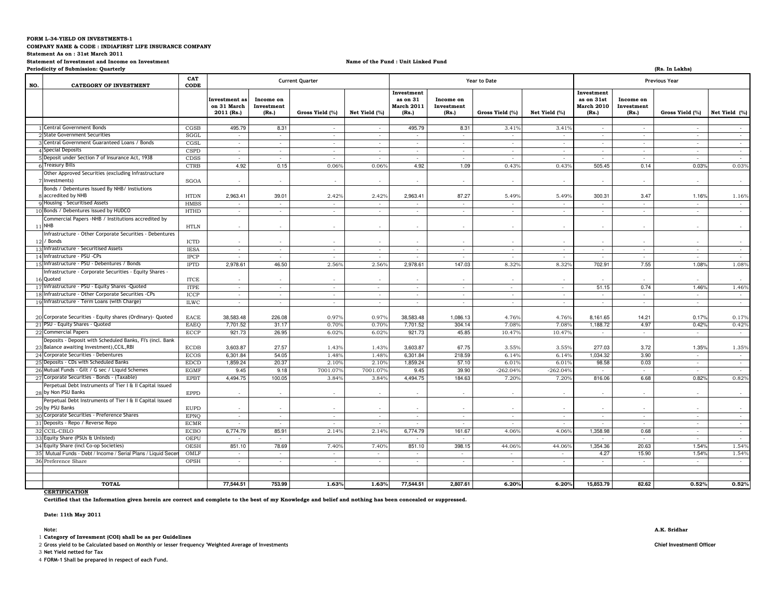#### **FORM L-34-YIELD ON INVESTMENTS-1**

**COMPANY NAME & CODE : INDIAFIRST LIFE INSURANCE COMPANY** 

**Statement As on : 31st March 2011**

**Statement of Investment and Income on Investment**

### **Name of the Fund : Unit Linked Fund**

|     | Periodicity of Submission: Quarterly                                                                    |                            |                                            |                                  |                        |                          |                                               |                                  |                     |                          |                                                        |                                    | (Rs. In Lakhs)           |                 |  |
|-----|---------------------------------------------------------------------------------------------------------|----------------------------|--------------------------------------------|----------------------------------|------------------------|--------------------------|-----------------------------------------------|----------------------------------|---------------------|--------------------------|--------------------------------------------------------|------------------------------------|--------------------------|-----------------|--|
| NO. | <b>CATEGORY OF INVESTMENT</b>                                                                           | CAT<br>CODE                |                                            |                                  | <b>Current Quarter</b> |                          |                                               |                                  | <b>Year to Date</b> |                          | <b>Previous Year</b>                                   |                                    |                          |                 |  |
|     |                                                                                                         |                            | Investment as<br>on 31 March<br>2011 (Rs.) | Income on<br>Investment<br>(Rs.) | Gross Yield (%)        | Net Yield (%)            | Investment<br>as on 31<br>March 2011<br>(Rs.) | Income on<br>Investment<br>(Rs.) | Gross Yield (%)     | Net Yield (%)            | Investment<br>as on 31st<br><b>March 2010</b><br>(Rs.) | Income on<br>Investment<br>(Rs.)   | Gross Yield (%)          | Net Yield (%)   |  |
|     |                                                                                                         |                            |                                            |                                  |                        |                          |                                               |                                  |                     |                          |                                                        |                                    |                          |                 |  |
|     | <b>Central Government Bonds</b>                                                                         | CGSB                       | 495.79                                     | 8.31                             | $\sim$                 | $\sim$                   | 495.79                                        | 8.31                             | 3.41%               | 3.41%                    | $\sim$                                                 | $\sim$                             | $\sim$                   | $\sim$          |  |
|     | <b>State Government Securities</b>                                                                      | SGGL                       | $\sim$                                     | $\sim$                           | $\sim$                 | $\sim$                   | $\sim$                                        | $\sim$                           | $\sim$              | $\sim$                   | $\sim$                                                 | $\sim$                             | $\sim$                   | $\sim$          |  |
|     | Central Government Guaranteed Loans / Bonds                                                             | CGSL                       | $\sim$                                     | $\sim$                           | $\sim$                 | $\epsilon$               | $\overline{\phantom{a}}$                      | $\sim$                           | $\sim$              | $\sim$                   | $\sim$                                                 | $\sim$                             | $\sim$                   | $\sim$          |  |
|     | Special Deposits                                                                                        | CSPD                       | $\sim$                                     | $\sim$                           | $\sim$                 | $\sim$                   | $\sim$                                        | $\sim$                           | $\sim$              | $\sim$                   | $\sim$                                                 | $\sim$                             | $\sim$                   | $\sim$          |  |
|     | 5 Deposit under Section 7 of Insurance Act, 1938                                                        | CDSS                       | $\sim$                                     | $\sim$                           | $\sim$                 | $\sim$                   | $\sim$                                        | $\sim$                           | $\sim$              | $\sim$                   | $\overline{\phantom{a}}$                               | $\sim$                             | $\sim$                   | $\sim$          |  |
|     | <b>Treasury Bills</b>                                                                                   | <b>CTRB</b>                | 4.92                                       | 0.15                             | 0.06%                  | 0.06%                    | 4.92                                          | 1.09                             | 0.43%               | 0.43%                    | 505.45                                                 | 0.14                               | 0.03%                    | 0.03%           |  |
|     | Other Approved Securities (excluding Infrastructure<br>Investments)                                     | <b>SGOA</b>                | $\sim$                                     | $\sim$                           | $\sim$                 | $\sim$                   | $\overline{\phantom{a}}$                      | $\sim$                           | $\sim$              | $\sim$                   | $\overline{\phantom{a}}$                               | $\sim$                             | $\sim$                   | $\sim$          |  |
|     | Bonds / Debentures Issued By NHB/ Instiutions                                                           |                            |                                            |                                  |                        |                          |                                               |                                  |                     |                          |                                                        |                                    |                          |                 |  |
|     | accredited by NHB                                                                                       | <b>HTDN</b>                | 2,963.41                                   | 39.01                            | 2.42%                  | 2.42%                    | 2,963.41                                      | 87.27                            | 5.49%               | 5.49%                    | 300.31                                                 | 3.47                               | 1.16%                    | 1.16%           |  |
|     | Housing - Securitised Assets                                                                            | <b>HMBS</b>                | $\sim$                                     | $\sim$                           | $\sim$                 | $\sim$                   | $\overline{\phantom{a}}$                      | $\sim$                           | $\sim$              | $\sim$                   | $\sim$                                                 | $\sim$                             | $\sim$                   | $\sim$          |  |
|     | 10 Bonds / Debentures issued by HUDCO                                                                   | <b>HTHD</b>                | $\cdot$                                    | $\sim$                           |                        | $\overline{\phantom{a}}$ | $\overline{\phantom{a}}$                      | $\sim$                           | $\sim$              |                          |                                                        |                                    | $\bar{\phantom{a}}$      | $\sim$          |  |
|     | Commercial Papers -NHB / Institutions accredited by<br>11 NHB                                           | <b>HTLN</b>                | $\sim$                                     | $\sim$                           | $\sim$                 | ۰.                       | $\epsilon$                                    | $\sim$                           | $\sim$              | ۰.                       | ۰.                                                     | $\mathbf{r}$                       | $\sim$                   | $\sim$          |  |
| 12  | Infrastructure - Other Corporate Securities - Debentures<br>/ Bonds                                     | <b>ICTD</b>                |                                            |                                  |                        |                          |                                               |                                  |                     |                          |                                                        |                                    |                          |                 |  |
|     | 13 Infrastructure - Securitised Assets                                                                  | <b>IESA</b>                | $\sim$                                     | $\sim$                           | $\sim$                 | $\sim$                   | $\sim$                                        | $\sim$                           | $\sim$              | $\sim$                   | $\sim$                                                 | $\sim$                             | $\sim$                   | $\sim$          |  |
|     | 14 Infrastructure - PSU - CPs                                                                           | <b>IPCP</b>                | $\sim$                                     | $\sim$                           | $\sim$                 | $\epsilon$               |                                               | $\sim$                           | $\sim$              | $\sim$                   | $\sim$                                                 | $\sim$                             | $\sim$                   | $\sim$          |  |
|     | 15 Infrastructure - PSU - Debentures / Bonds                                                            | <b>IPTD</b>                | 2,978.61                                   | 46.50                            | 2.56%                  | 2.56%                    | 2,978.61                                      | 147.03                           | 8.32%               | 8.32%                    | 702.91                                                 | 7.55                               | 1.08%                    | 1.08%           |  |
|     | Infrastructure - Corporate Securities - Equity Shares -<br>16 Quoted                                    | <b>ITCE</b>                |                                            |                                  |                        |                          |                                               |                                  |                     |                          |                                                        |                                    |                          |                 |  |
|     | 17 Infrastructure - PSU - Equity Shares - Quoted                                                        | <b>ITPE</b>                | $\sim$                                     | $\sim$                           | $\sim$                 | $\sim$                   | $\epsilon$                                    | $\sim$                           | $\sim$              | $\sim$                   | 51.15                                                  | 0.74                               | 1.46%                    | 1.46%           |  |
|     | 18 Infrastructure - Other Corporate Securities -CPs                                                     | <b>ICCP</b>                | $\sim$                                     | $\sim$                           | $\sim$                 | $\sim$                   | $\sim$                                        | $\sim$                           | $\sim$              | $\sim$                   | $\sim$                                                 | $\sim$                             | $\sim$                   | $\sim$          |  |
|     | 19 Infrastructure - Term Loans (with Charge)                                                            | <b>ILWC</b>                | $\sim$                                     | $\sim$                           | $\sim$                 | $\sim$                   | $\overline{\phantom{a}}$                      | $\sim$                           | $\sim$              | $\sim$                   | $\sim$                                                 | $\sim$                             | ×.                       | $\sim$          |  |
|     | 20 Corporate Securities - Equity shares (Ordinary) - Quoted<br>21 PSU - Equity Shares - Quoted          | EACE                       | 38,583.48                                  | 226.08                           | 0.97%                  | 0.97%                    | 38,583.48                                     | 1,086.13                         | 4.76%               | 4.76%                    | 8,161.65                                               | 14.21                              | 0.17%                    | 0.17%           |  |
|     | 22 Commercial Papers                                                                                    | <b>EAEO</b>                | 7,701.52                                   | 31.17                            | 0.70%                  | 0.70%                    | 7,701.52                                      | 304.14                           | 7.08%               | 7.08%                    | 1,188.72                                               | 4.97                               | 0.42%                    | 0.42%           |  |
|     | Deposits - Deposit with Scheduled Banks, FI's (incl. Bank                                               | ECCP                       | 921.73                                     | 26.95                            | 6.02%                  | 6.02%                    | 921.73                                        | 45.85                            | 10.47%              | 10.47%                   |                                                        | $\sim$                             | $\sim$                   | $\sim$          |  |
|     | 23 Balance awaiting Investment), CCIL, RBI                                                              | <b>ECDB</b>                | 3.603.87                                   | 27.57                            | 1.43%                  | 1.43%                    | 3,603.87                                      | 67.75                            | 3.55%               | 3.55%                    | 277.03                                                 | 3.72                               | 1.35%                    | 1.35%           |  |
|     | 24 Corporate Securities - Debentures                                                                    | <b>ECOS</b>                | 6,301.84                                   | 54.05                            | 1.48%                  | 1.48%                    | 6,301.84                                      | 218.59                           | 6.14%               | 6.14%                    | 1,034.32                                               | 3.90                               | $\sim$                   | $\sim$          |  |
|     | 25 Deposits - CDs with Scheduled Banks<br>26 Mutual Funds - Gilt / G sec / Liquid Schemes               | <b>EDCD</b>                | 1,859.24                                   | 20.37                            | 2.10%                  | $2.10^{9}$               | 1,859.24                                      | 57.10                            | 6.01%               | 6.01                     | 98.58                                                  | 0.03                               | $\sim$                   | $\sim$          |  |
|     |                                                                                                         | <b>EGMF</b>                | 9.45                                       | 9.18                             | 7001.07%               | 7001.079                 | 9.45                                          | 39.90                            | $-262.04%$          | $-262.04%$               |                                                        |                                    | $\overline{\phantom{a}}$ | $\sim$          |  |
|     | 27 Corporate Securities - Bonds - (Taxable)<br>Perpetual Debt Instruments of Tier I & II Capital issued | <b>EPBT</b>                | 4,494.75                                   | 100.05                           | 3.84%                  | 3.84%                    | 4,494.75                                      | 184.63                           | $7.20^{\circ}$      | 7.20%                    | 816.06                                                 | 6.68                               | 0.82%                    | 0.82%           |  |
|     | 28 by Non PSU Banks<br>Perpetual Debt Instruments of Tier I & II Capital issued                         | <b>EPPD</b>                |                                            |                                  |                        |                          |                                               |                                  |                     |                          |                                                        |                                    |                          |                 |  |
|     | 29 by PSU Banks                                                                                         | <b>EUPD</b>                | $\sim$                                     | $\sim$                           |                        | $\sim$                   | $\sim$                                        | $\sim$                           | $\sim$              |                          | ۰.                                                     | $\sim$                             | $\sim$                   | $\sim$          |  |
|     | 30 Corporate Securities - Preference Shares<br>31 Deposits - Repo / Reverse Repo                        | <b>EPNO</b><br><b>ECMR</b> | $\sim$<br>$\sim$                           | $\sim$<br>$\sim$                 | $\sim$<br>$\sim$       | $\epsilon$<br>$\sim$     | $\cdot$<br>$\epsilon$                         | $\sim$<br>$\sim$                 | $\sim$<br>$\sim$    | $\sim$<br>$\sim$         | $\sim$<br>۰.                                           | $\overline{\phantom{a}}$<br>$\sim$ | $\sim$                   | $\sim$          |  |
|     | 32 CCIL-CBLO                                                                                            |                            | 6,774.79                                   | 85.91                            | 2.14%                  | 2.14%                    | 6,774.79                                      | 161.67                           | 4.06%               | 4.06%                    | 1,358.98                                               | 0.68                               | $\sim$                   | $\sim$          |  |
|     | 33 Equity Share (PSUs & Unlisted)                                                                       | <b>ECBO</b><br><b>OEPU</b> |                                            |                                  |                        |                          |                                               |                                  |                     |                          |                                                        |                                    | $\sim$                   | $\sim$          |  |
|     | 34 Equity Share (incl Co-op Societies)                                                                  | OESH                       | 851.10                                     | $\sim$<br>78.69                  | 7.40%                  | 7.40%                    | $\overline{\phantom{a}}$<br>851.10            | $\sim$<br>398.15                 | 44.06%              | 44.06                    | 1,354.36                                               | 20.63                              | $\sim$<br>1.54%          | $\sim$<br>1.54% |  |
|     | 35 Mutual Funds - Debt / Income / Serial Plans / Liquid Sece                                            | OMLF                       | $\sim$                                     | $\sim$                           | $\sim$                 | $\sim$                   | $\sim$                                        | $\sim$                           | $\sim$              | $\sim$                   | 4.27                                                   | 15.90                              | 1.54%                    | 1.54%           |  |
|     | 36 Preference Share                                                                                     | <b>OPSH</b>                | $\sim$                                     | $\sim$                           | $\sim$                 | $\sim$                   | ٠                                             | $\sim$                           | $\sim$              | $\overline{\phantom{a}}$ | $\overline{\phantom{a}}$                               | $\sim$                             | $\sim$                   | $\sim$          |  |
|     |                                                                                                         |                            |                                            |                                  |                        |                          |                                               |                                  |                     |                          |                                                        |                                    |                          |                 |  |
|     | <b>TOTAL</b>                                                                                            |                            | 77,544.51                                  | 753.99                           | 1.63%                  | 1.63%                    | 77,544.51                                     | 2,807.61                         | 6.20%               | 6.20%                    | 15,853.79                                              | 82.62                              | 0.52%                    | 0.52%           |  |

# **CERTIFICATION**

**Certified that the Information given herein are correct and complete to the best of my Knowledge and belief and nothing has been concealed or suppressed.**

## **Date: 11th May 2011**

1 **Category of Invesment (COI) shall be as per Guidelines**

2 **Gross yield to be Calculated based on Monthly or lesser frequency 'Weighted Average of Investments Chief Investmentl Officer**

3 **Net Yield netted for Tax**

4 **FORM-1 Shall be prepared in respect of each Fund.**